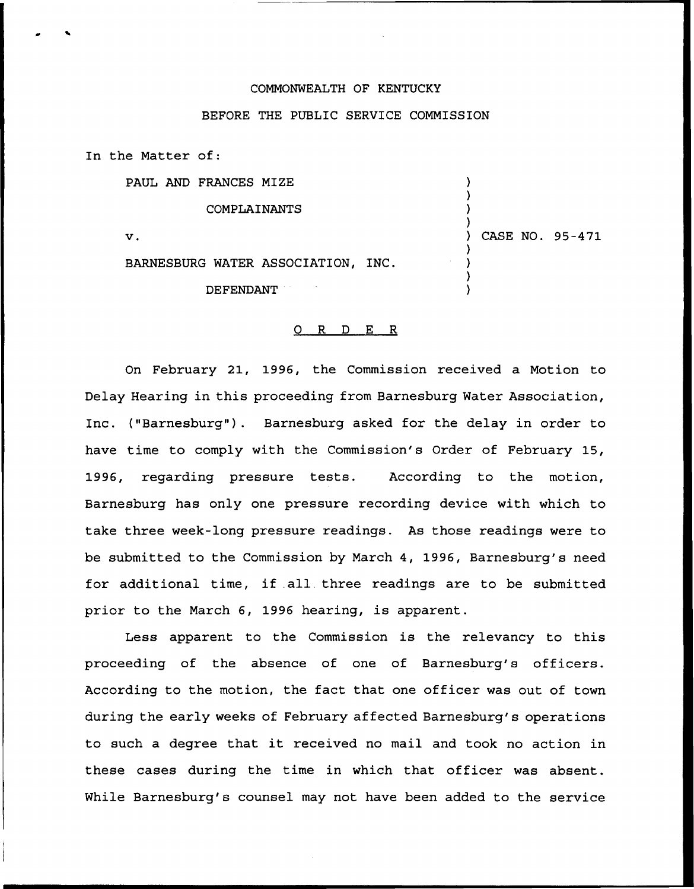## COMMONWEALTH OF KENTUCKY

## BEFORE THE PUBLIC SERVICE COMMISSION

In the Matter of:

PAUL AND FRANCES MIZE COMPLAINANTS

)  $\mathbf{v}$ . ) CASE NO. 95-471 ) BARNESBURG WATER ASSOCIATION, INC. ) ) DEFENDANT )

) ) )

## 0 R <sup>D</sup> E R

On February 21, 1996, the Commission received a Motion to Delay Hearing in this proceeding from Barnesburg Water Association, Inc. ("Barnesburg"). Barnesburg asked for the delay in order to have time to comply with the Commission's Order of February 15, 1996, regarding pressuxe tests. According to the motion, Barnesburg has only one pressure recording device with which to take three week-long pressure readings. As those readings were to be submitted to the Commission by March 4, 1996, Barnesburg's need for additional time, if all three readings are to be submitted prior to the March 6, 1996 heaxing, is apparent.

Less apparent to the Commission is the relevancy to this proceeding of the absence of one of Barnesburg's officers. According to the motion, the fact that one officer was out of town during the early weeks of February affected Barnesburg's operations to such <sup>a</sup> degree that it received no mail and took no action in these cases during the time in which that officer was absent. While Barnesburg's counsel may not have been added to the service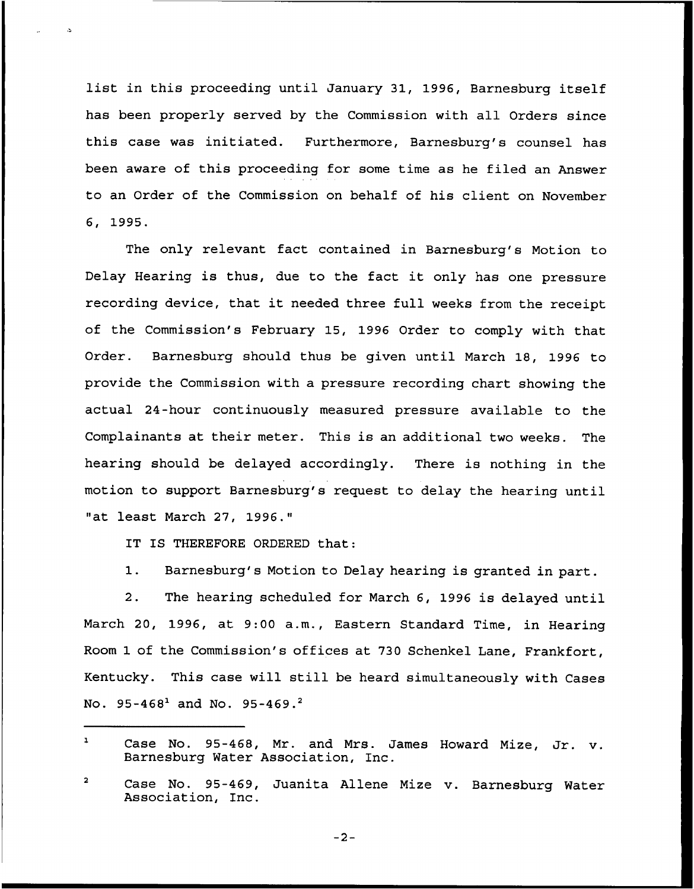list in this proceeding until January 31, 1996, Barnesburg itself has been properly served by the Commission with all Orders since this case was initiated. Furthermore, Barnesburg's counsel has been aware of this proceeding for some time as he filed an Answer to an Order of the Commission on behalf of his client on November 6, 1995.

The only relevant fact contained in Barnesburg's Motion to Delay Hearing is thus, due to the fact it only has one pressure recording device, that it needed three full weeks from the receipt of the Commission's February 15, 1996 Order to comply with that Order. Barnesburg should thus be given until March 18, 1996 to provide the Commission with a pressure recording chart showing the actual 24-hour continuously measured pressure available to the Complainants at their meter. This is an additional two weeks. The hearing should be delayed accordingly. There is nothing in the motion to support Barnesburg's request to delay the hearing until "at least March 27, 1996."

IT IS THEREFORE ORDERED that:

1. Barnesburg's Motion to Delay hearing is granted in part.

2. The hearing scheduled for March 6, 1996 is delayed until March 20, 1996, at 9:00 a.m., Eastern Standard Time, in Hearing Room 1 of the Commission's offices at 730 Schenkel Lane, Frankfort, Kentucky. This case will still be heard simultaneously with Cases No.  $95-468^1$  and No.  $95-469.^2$ 

 $-2-$ 

 $\ddot{\mathbf{r}}$ Case No. 95-468, Mr. and Mrs. James Howard Mize, Jr. v. Barnesburg Water Association, Inc.

 $\mathbf 2$ Case No. 95-469, Juanita Aliene Mize v. Barnesburg Water Association, Inc.